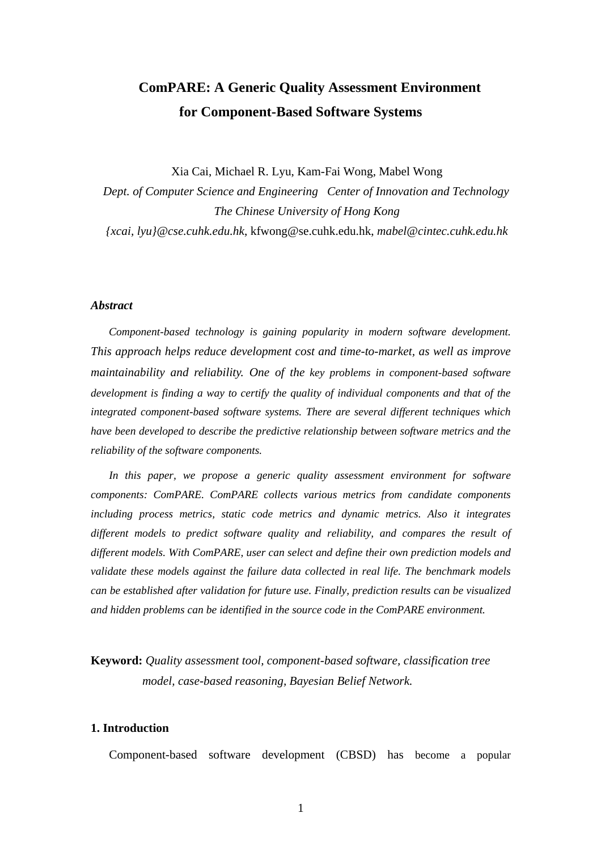# **ComPARE: A Generic Quality Assessment Environment for Component-Based Software Systems**

Xia Cai, Michael R. Lyu, Kam-Fai Wong, Mabel Wong

*Dept. of Computer Science and Engineering Center of Innovation and Technology The Chinese University of Hong Kong {xcai, lyu}@cse.cuhk.edu.hk*, kfwong@se.cuhk.edu.hk, *mabel@cintec.cuhk.edu.hk*

#### *Abstract*

*Component-based technology is gaining popularity in modern software development. This approach helps reduce development cost and time-to-market, as well as improve maintainability and reliability. One of the key problems in component-based software development is finding a way to certify the quality of individual components and that of the integrated component-based software systems. There are several different techniques which have been developed to describe the predictive relationship between software metrics and the reliability of the software components.* 

In this paper, we propose a generic quality assessment environment for software *components: ComPARE. ComPARE collects various metrics from candidate components including process metrics, static code metrics and dynamic metrics. Also it integrates different models to predict software quality and reliability, and compares the result of different models. With ComPARE, user can select and define their own prediction models and validate these models against the failure data collected in real life. The benchmark models can be established after validation for future use. Finally, prediction results can be visualized and hidden problems can be identified in the source code in the ComPARE environment.* 

## **Keyword:** *Quality assessment tool, component-based software, classification tree model, case-based reasoning, Bayesian Belief Network.*

## **1. Introduction**

Component-based software development (CBSD) has become a popular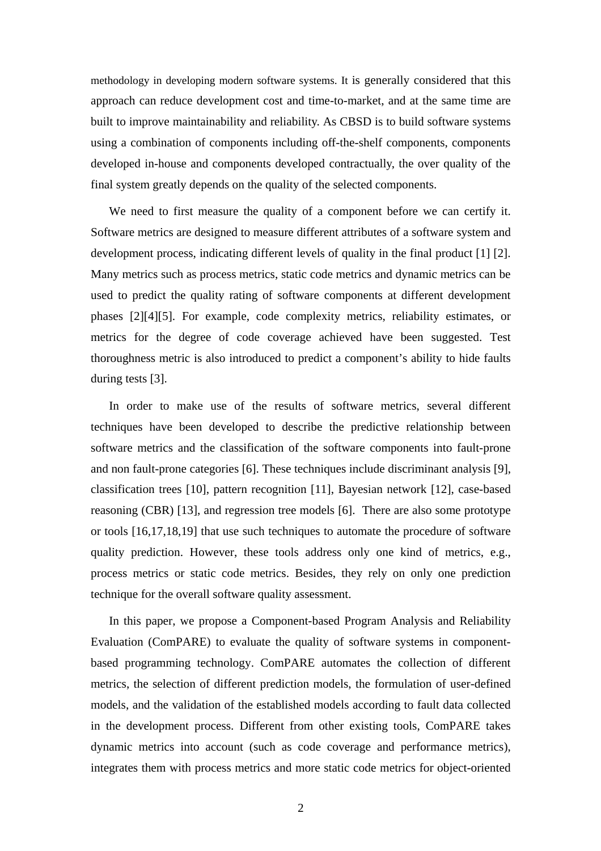methodology in developing modern software systems. It is generally considered that this approach can reduce development cost and time-to-market, and at the same time are built to improve maintainability and reliability. As CBSD is to build software systems using a combination of components including off-the-shelf components, components developed in-house and components developed contractually, the over quality of the final system greatly depends on the quality of the selected components.

We need to first measure the quality of a component before we can certify it. Software metrics are designed to measure different attributes of a software system and development process, indicating different levels of quality in the final product [1] [2]. Many metrics such as process metrics, static code metrics and dynamic metrics can be used to predict the quality rating of software components at different development phases [2][4][5]. For example, code complexity metrics, reliability estimates, or metrics for the degree of code coverage achieved have been suggested. Test thoroughness metric is also introduced to predict a component's ability to hide faults during tests [3].

In order to make use of the results of software metrics, several different techniques have been developed to describe the predictive relationship between software metrics and the classification of the software components into fault-prone and non fault-prone categories [6]. These techniques include discriminant analysis [9], classification trees [10], pattern recognition [11], Bayesian network [12], case-based reasoning (CBR) [13], and regression tree models [6]. There are also some prototype or tools [16,17,18,19] that use such techniques to automate the procedure of software quality prediction. However, these tools address only one kind of metrics, e.g., process metrics or static code metrics. Besides, they rely on only one prediction technique for the overall software quality assessment.

In this paper, we propose a Component-based Program Analysis and Reliability Evaluation (ComPARE) to evaluate the quality of software systems in componentbased programming technology. ComPARE automates the collection of different metrics, the selection of different prediction models, the formulation of user-defined models, and the validation of the established models according to fault data collected in the development process. Different from other existing tools, ComPARE takes dynamic metrics into account (such as code coverage and performance metrics), integrates them with process metrics and more static code metrics for object-oriented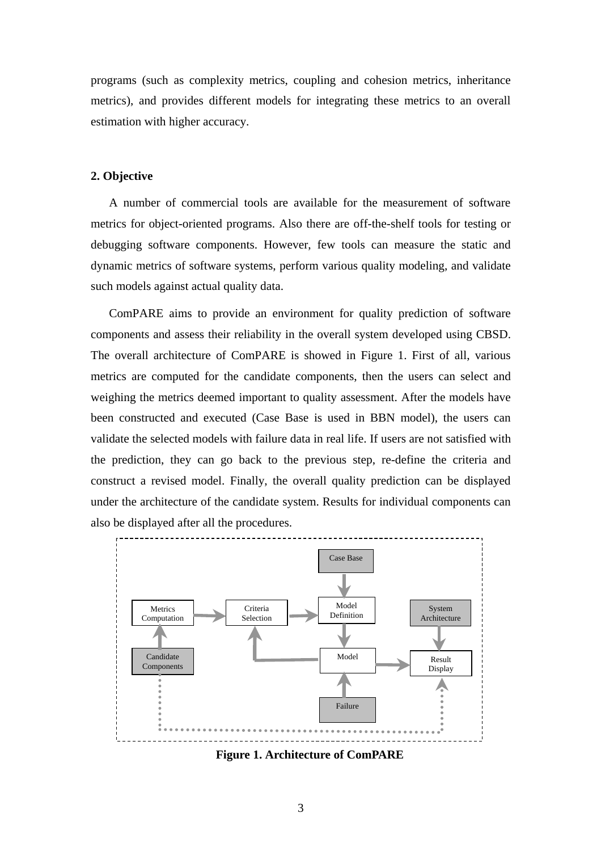programs (such as complexity metrics, coupling and cohesion metrics, inheritance metrics), and provides different models for integrating these metrics to an overall estimation with higher accuracy.

#### **2. Objective**

A number of commercial tools are available for the measurement of software metrics for object-oriented programs. Also there are off-the-shelf tools for testing or debugging software components. However, few tools can measure the static and dynamic metrics of software systems, perform various quality modeling, and validate such models against actual quality data.

ComPARE aims to provide an environment for quality prediction of software components and assess their reliability in the overall system developed using CBSD. The overall architecture of ComPARE is showed in Figure 1. First of all, various metrics are computed for the candidate components, then the users can select and weighing the metrics deemed important to quality assessment. After the models have been constructed and executed (Case Base is used in BBN model), the users can validate the selected models with failure data in real life. If users are not satisfied with the prediction, they can go back to the previous step, re-define the criteria and construct a revised model. Finally, the overall quality prediction can be displayed under the architecture of the candidate system. Results for individual components can also be displayed after all the procedures.



**Figure 1. Architecture of ComPARE**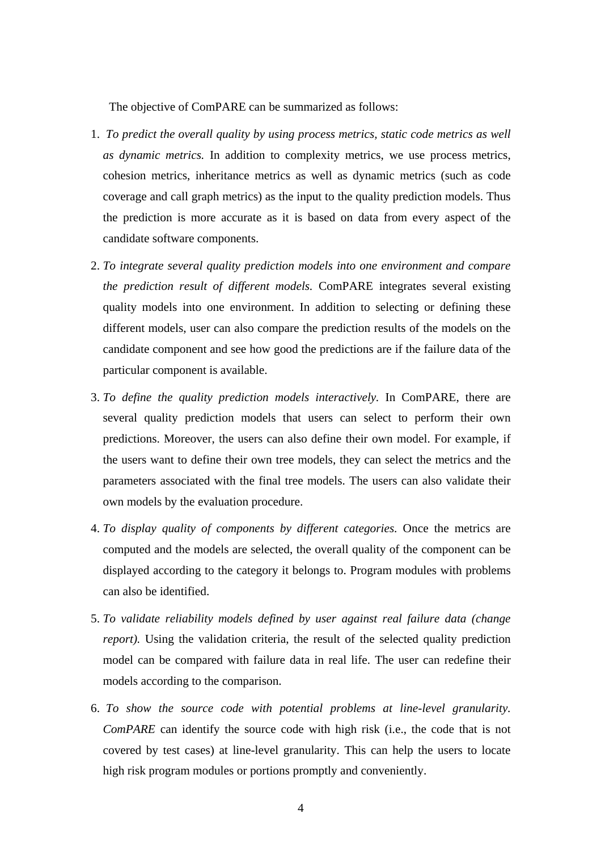The objective of ComPARE can be summarized as follows:

- 1. *To predict the overall quality by using process metrics, static code metrics as well as dynamic metrics.* In addition to complexity metrics, we use process metrics, cohesion metrics, inheritance metrics as well as dynamic metrics (such as code coverage and call graph metrics) as the input to the quality prediction models. Thus the prediction is more accurate as it is based on data from every aspect of the candidate software components.
- 2. *To integrate several quality prediction models into one environment and compare the prediction result of different models.* ComPARE integrates several existing quality models into one environment. In addition to selecting or defining these different models, user can also compare the prediction results of the models on the candidate component and see how good the predictions are if the failure data of the particular component is available.
- 3. *To define the quality prediction models interactively.* In ComPARE, there are several quality prediction models that users can select to perform their own predictions. Moreover, the users can also define their own model. For example, if the users want to define their own tree models, they can select the metrics and the parameters associated with the final tree models. The users can also validate their own models by the evaluation procedure.
- 4. *To display quality of components by different categories.* Once the metrics are computed and the models are selected, the overall quality of the component can be displayed according to the category it belongs to. Program modules with problems can also be identified.
- 5. *To validate reliability models defined by user against real failure data (change report*). Using the validation criteria, the result of the selected quality prediction model can be compared with failure data in real life. The user can redefine their models according to the comparison.
- 6. *To show the source code with potential problems at line-level granularity. ComPARE* can identify the source code with high risk (i.e., the code that is not covered by test cases) at line-level granularity. This can help the users to locate high risk program modules or portions promptly and conveniently.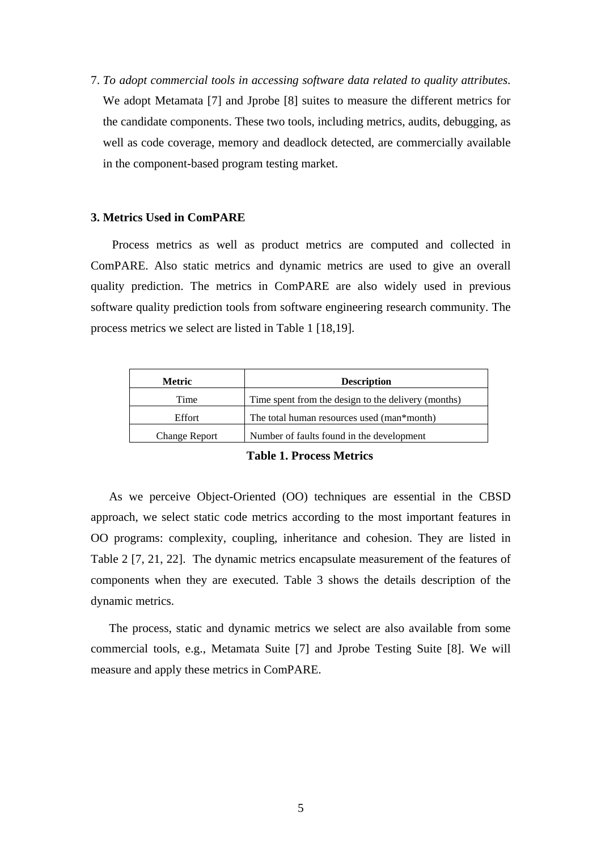7. *To adopt commercial tools in accessing software data related to quality attributes.*  We adopt Metamata [7] and Jprobe [8] suites to measure the different metrics for the candidate components. These two tools, including metrics, audits, debugging, as well as code coverage, memory and deadlock detected, are commercially available in the component-based program testing market.

### **3. Metrics Used in ComPARE**

Process metrics as well as product metrics are computed and collected in ComPARE. Also static metrics and dynamic metrics are used to give an overall quality prediction. The metrics in ComPARE are also widely used in previous software quality prediction tools from software engineering research community. The process metrics we select are listed in Table 1 [18,19].

| <b>Metric</b>        | <b>Description</b>                                  |
|----------------------|-----------------------------------------------------|
| Time                 | Time spent from the design to the delivery (months) |
| Effort               | The total human resources used (man*month)          |
| <b>Change Report</b> | Number of faults found in the development           |

**Table 1. Process Metrics** 

As we perceive Object-Oriented (OO) techniques are essential in the CBSD approach, we select static code metrics according to the most important features in OO programs: complexity, coupling, inheritance and cohesion. They are listed in Table 2 [7, 21, 22]. The dynamic metrics encapsulate measurement of the features of components when they are executed. Table 3 shows the details description of the dynamic metrics.

 The process, static and dynamic metrics we select are also available from some commercial tools, e.g., Metamata Suite [7] and Jprobe Testing Suite [8]. We will measure and apply these metrics in ComPARE.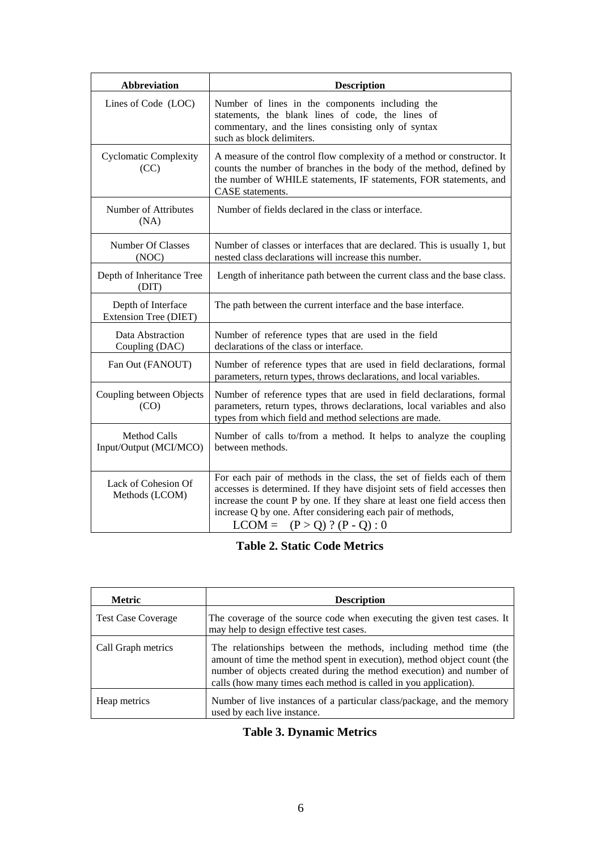| <b>Abbreviation</b>                           | <b>Description</b>                                                                                                                                                                                                                                                                                                                |
|-----------------------------------------------|-----------------------------------------------------------------------------------------------------------------------------------------------------------------------------------------------------------------------------------------------------------------------------------------------------------------------------------|
| Lines of Code (LOC)                           | Number of lines in the components including the<br>statements, the blank lines of code, the lines of<br>commentary, and the lines consisting only of syntax<br>such as block delimiters.                                                                                                                                          |
| <b>Cyclomatic Complexity</b><br>(CC)          | A measure of the control flow complexity of a method or constructor. It<br>counts the number of branches in the body of the method, defined by<br>the number of WHILE statements, IF statements, FOR statements, and<br>CASE statements.                                                                                          |
| Number of Attributes<br>(NA)                  | Number of fields declared in the class or interface.                                                                                                                                                                                                                                                                              |
| Number Of Classes<br>(NOC)                    | Number of classes or interfaces that are declared. This is usually 1, but<br>nested class declarations will increase this number.                                                                                                                                                                                                 |
| Depth of Inheritance Tree<br>(DIT)            | Length of inheritance path between the current class and the base class.                                                                                                                                                                                                                                                          |
| Depth of Interface<br>Extension Tree (DIET)   | The path between the current interface and the base interface.                                                                                                                                                                                                                                                                    |
| Data Abstraction<br>Coupling (DAC)            | Number of reference types that are used in the field<br>declarations of the class or interface.                                                                                                                                                                                                                                   |
| Fan Out (FANOUT)                              | Number of reference types that are used in field declarations, formal<br>parameters, return types, throws declarations, and local variables.                                                                                                                                                                                      |
| Coupling between Objects<br>(CO)              | Number of reference types that are used in field declarations, formal<br>parameters, return types, throws declarations, local variables and also<br>types from which field and method selections are made.                                                                                                                        |
| <b>Method Calls</b><br>Input/Output (MCI/MCO) | Number of calls to/from a method. It helps to analyze the coupling<br>between methods.                                                                                                                                                                                                                                            |
| Lack of Cohesion Of<br>Methods (LCOM)         | For each pair of methods in the class, the set of fields each of them<br>accesses is determined. If they have disjoint sets of field accesses then<br>increase the count P by one. If they share at least one field access then<br>increase Q by one. After considering each pair of methods,<br>LCOM = $(P > 0)$ ? $(P - 0)$ : 0 |

**Table 2. Static Code Metrics** 

| <b>Metric</b>             | <b>Description</b>                                                                                                                                                                                                                                                                       |
|---------------------------|------------------------------------------------------------------------------------------------------------------------------------------------------------------------------------------------------------------------------------------------------------------------------------------|
| <b>Test Case Coverage</b> | The coverage of the source code when executing the given test cases. It<br>may help to design effective test cases.                                                                                                                                                                      |
| Call Graph metrics        | The relationships between the methods, including method time (the<br>amount of time the method spent in execution), method object count (the<br>number of objects created during the method execution) and number of<br>calls (how many times each method is called in you application). |
| Heap metrics              | Number of live instances of a particular class/package, and the memory<br>used by each live instance.                                                                                                                                                                                    |

## **Table 3. Dynamic Metrics**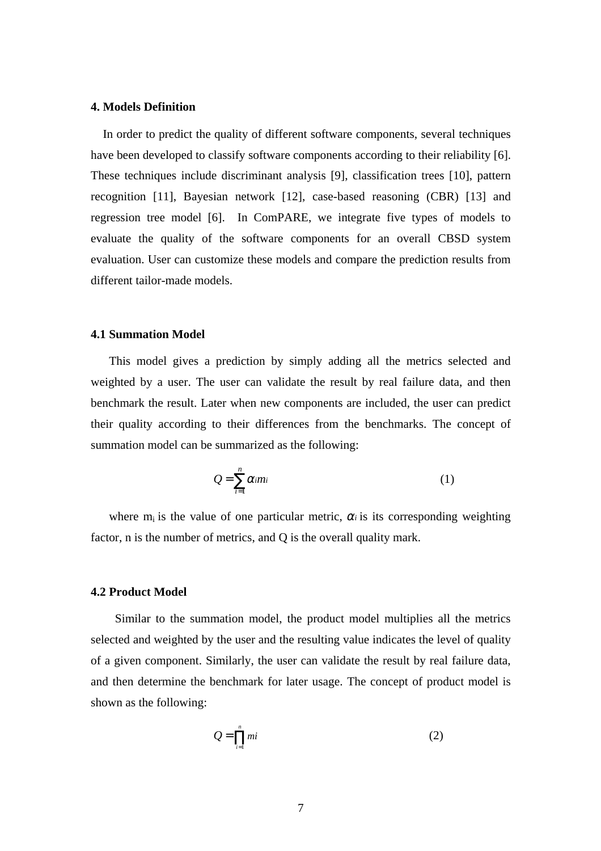## **4. Models Definition**

In order to predict the quality of different software components, several techniques have been developed to classify software components according to their reliability [6]. These techniques include discriminant analysis [9], classification trees [10], pattern recognition [11], Bayesian network [12], case-based reasoning (CBR) [13] and regression tree model [6]. In ComPARE, we integrate five types of models to evaluate the quality of the software components for an overall CBSD system evaluation. User can customize these models and compare the prediction results from different tailor-made models.

#### **4.1 Summation Model**

This model gives a prediction by simply adding all the metrics selected and weighted by a user. The user can validate the result by real failure data, and then benchmark the result. Later when new components are included, the user can predict their quality according to their differences from the benchmarks. The concept of summation model can be summarized as the following:

$$
Q = \sum_{i=1}^{n} \alpha_i m_i \tag{1}
$$

where m<sub>i</sub> is the value of one particular metric,  $\alpha_i$  is its corresponding weighting factor, n is the number of metrics, and Q is the overall quality mark.

## **4.2 Product Model**

 Similar to the summation model, the product model multiplies all the metrics selected and weighted by the user and the resulting value indicates the level of quality of a given component. Similarly, the user can validate the result by real failure data, and then determine the benchmark for later usage. The concept of product model is shown as the following:

$$
Q = \prod_{i=1}^{n} m i
$$
 (2)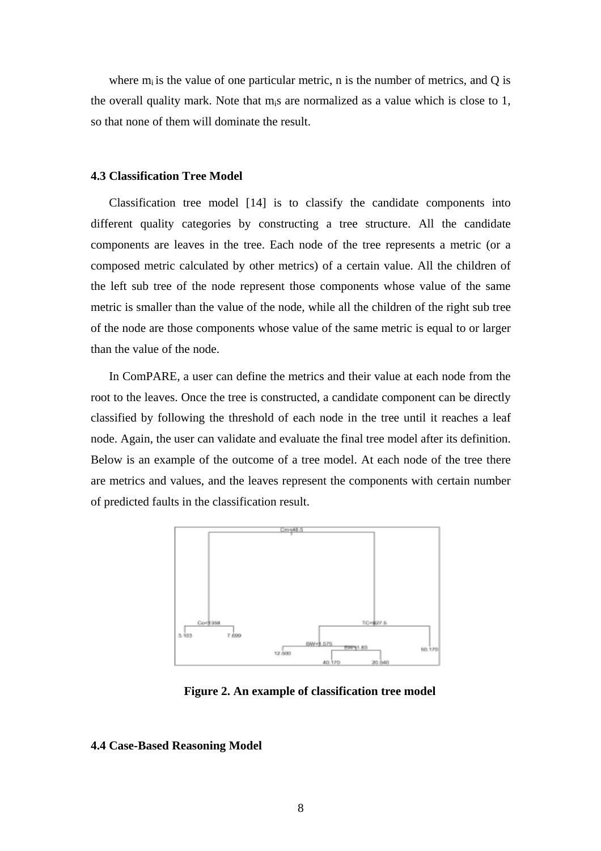where  $m_i$  is the value of one particular metric, n is the number of metrics, and Q is the overall quality mark. Note that mis are normalized as a value which is close to 1, so that none of them will dominate the result.

#### **4.3 Classification Tree Model**

Classification tree model [14] is to classify the candidate components into different quality categories by constructing a tree structure. All the candidate components are leaves in the tree. Each node of the tree represents a metric (or a composed metric calculated by other metrics) of a certain value. All the children of the left sub tree of the node represent those components whose value of the same metric is smaller than the value of the node, while all the children of the right sub tree of the node are those components whose value of the same metric is equal to or larger than the value of the node.

In ComPARE, a user can define the metrics and their value at each node from the root to the leaves. Once the tree is constructed, a candidate component can be directly classified by following the threshold of each node in the tree until it reaches a leaf node. Again, the user can validate and evaluate the final tree model after its definition. Below is an example of the outcome of a tree model. At each node of the tree there are metrics and values, and the leaves represent the components with certain number of predicted faults in the classification result.



**Figure 2. An example of classification tree model** 

#### **4.4 Case-Based Reasoning Model**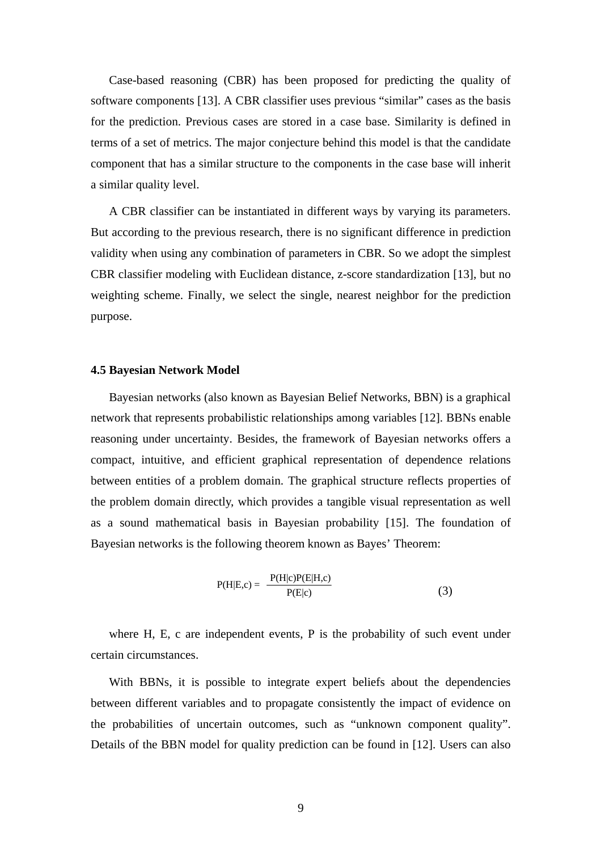Case-based reasoning (CBR) has been proposed for predicting the quality of software components [13]. A CBR classifier uses previous "similar" cases as the basis for the prediction. Previous cases are stored in a case base. Similarity is defined in terms of a set of metrics. The major conjecture behind this model is that the candidate component that has a similar structure to the components in the case base will inherit a similar quality level.

A CBR classifier can be instantiated in different ways by varying its parameters. But according to the previous research, there is no significant difference in prediction validity when using any combination of parameters in CBR. So we adopt the simplest CBR classifier modeling with Euclidean distance, z-score standardization [13], but no weighting scheme. Finally, we select the single, nearest neighbor for the prediction purpose.

#### **4.5 Bayesian Network Model**

Bayesian networks (also known as Bayesian Belief Networks, BBN) is a graphical network that represents probabilistic relationships among variables [12]. BBNs enable reasoning under uncertainty. Besides, the framework of Bayesian networks offers a compact, intuitive, and efficient graphical representation of dependence relations between entities of a problem domain. The graphical structure reflects properties of the problem domain directly, which provides a tangible visual representation as well as a sound mathematical basis in Bayesian probability [15]. The foundation of Bayesian networks is the following theorem known as Bayes' Theorem:

$$
P(H|E,c) = \frac{P(H|c)P(E|H,c)}{P(E|c)}
$$
(3)

where H, E, c are independent events, P is the probability of such event under certain circumstances.

With BBNs, it is possible to integrate expert beliefs about the dependencies between different variables and to propagate consistently the impact of evidence on the probabilities of uncertain outcomes, such as "unknown component quality". Details of the BBN model for quality prediction can be found in [12]. Users can also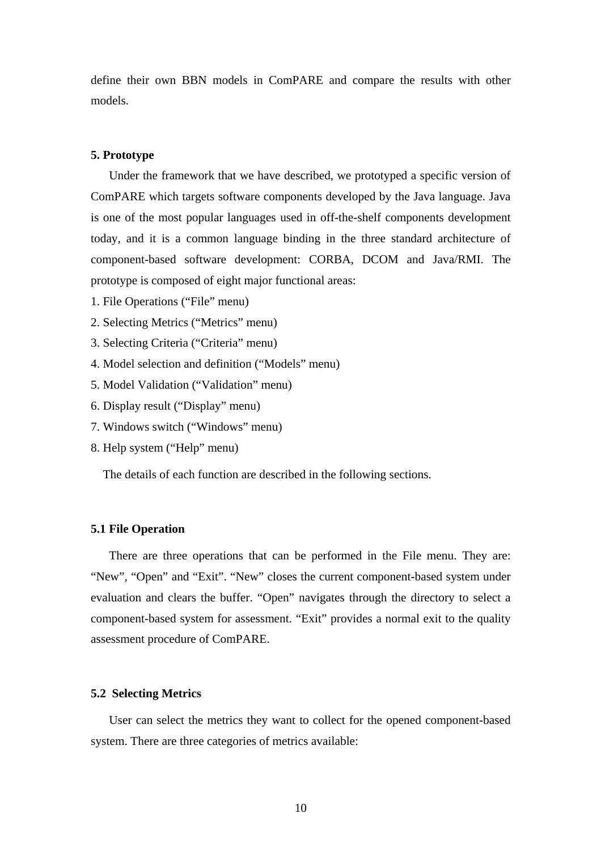define their own BBN models in ComPARE and compare the results with other models.

#### **5. Prototype**

Under the framework that we have described, we prototyped a specific version of ComPARE which targets software components developed by the Java language. Java is one of the most popular languages used in off-the-shelf components development today, and it is a common language binding in the three standard architecture of component-based software development: CORBA, DCOM and Java/RMI. The prototype is composed of eight major functional areas:

- 1. File Operations ("File" menu)
- 2. Selecting Metrics ("Metrics" menu)
- 3. Selecting Criteria ("Criteria" menu)
- 4. Model selection and definition ("Models" menu)
- 5. Model Validation ("Validation" menu)
- 6. Display result ("Display" menu)
- 7. Windows switch ("Windows" menu)
- 8. Help system ("Help" menu)

The details of each function are described in the following sections.

## **5.1 File Operation**

There are three operations that can be performed in the File menu. They are: "New", "Open" and "Exit". "New" closes the current component-based system under evaluation and clears the buffer. "Open" navigates through the directory to select a component-based system for assessment. "Exit" provides a normal exit to the quality assessment procedure of ComPARE.

## **5.2 Selecting Metrics**

User can select the metrics they want to collect for the opened component-based system. There are three categories of metrics available: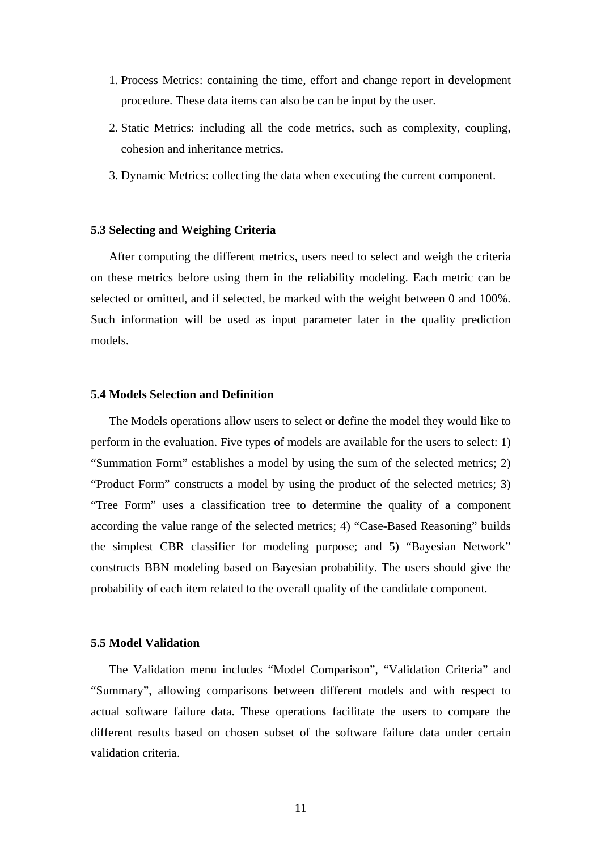- 1. Process Metrics: containing the time, effort and change report in development procedure. These data items can also be can be input by the user.
- 2. Static Metrics: including all the code metrics, such as complexity, coupling, cohesion and inheritance metrics.
- 3. Dynamic Metrics: collecting the data when executing the current component.

#### **5.3 Selecting and Weighing Criteria**

After computing the different metrics, users need to select and weigh the criteria on these metrics before using them in the reliability modeling. Each metric can be selected or omitted, and if selected, be marked with the weight between 0 and 100%. Such information will be used as input parameter later in the quality prediction models.

## **5.4 Models Selection and Definition**

The Models operations allow users to select or define the model they would like to perform in the evaluation. Five types of models are available for the users to select: 1) "Summation Form" establishes a model by using the sum of the selected metrics; 2) "Product Form" constructs a model by using the product of the selected metrics; 3) "Tree Form" uses a classification tree to determine the quality of a component according the value range of the selected metrics; 4) "Case-Based Reasoning" builds the simplest CBR classifier for modeling purpose; and 5) "Bayesian Network" constructs BBN modeling based on Bayesian probability. The users should give the probability of each item related to the overall quality of the candidate component.

#### **5.5 Model Validation**

The Validation menu includes "Model Comparison", "Validation Criteria" and "Summary", allowing comparisons between different models and with respect to actual software failure data. These operations facilitate the users to compare the different results based on chosen subset of the software failure data under certain validation criteria.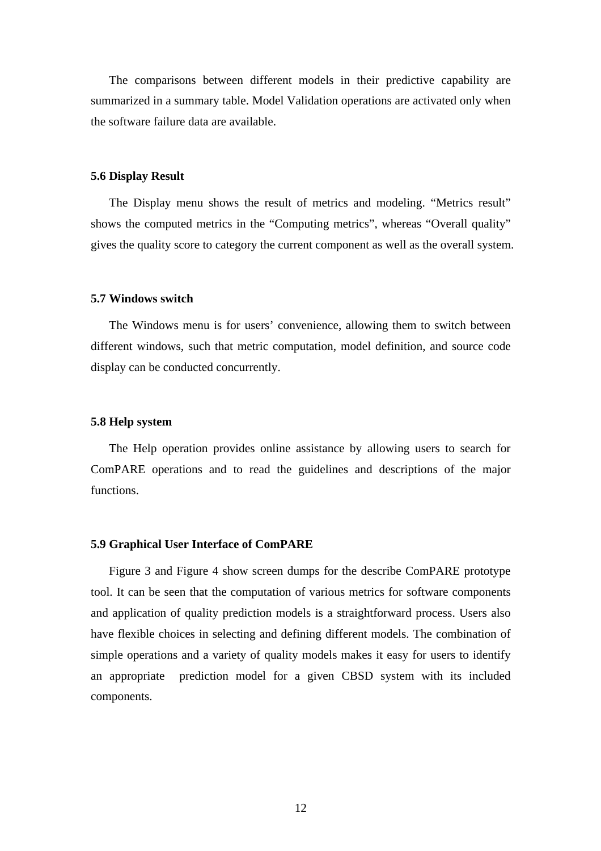The comparisons between different models in their predictive capability are summarized in a summary table. Model Validation operations are activated only when the software failure data are available.

#### **5.6 Display Result**

The Display menu shows the result of metrics and modeling. "Metrics result" shows the computed metrics in the "Computing metrics", whereas "Overall quality" gives the quality score to category the current component as well as the overall system.

#### **5.7 Windows switch**

The Windows menu is for users' convenience, allowing them to switch between different windows, such that metric computation, model definition, and source code display can be conducted concurrently.

#### **5.8 Help system**

The Help operation provides online assistance by allowing users to search for ComPARE operations and to read the guidelines and descriptions of the major functions.

#### **5.9 Graphical User Interface of ComPARE**

 Figure 3 and Figure 4 show screen dumps for the describe ComPARE prototype tool. It can be seen that the computation of various metrics for software components and application of quality prediction models is a straightforward process. Users also have flexible choices in selecting and defining different models. The combination of simple operations and a variety of quality models makes it easy for users to identify an appropriate prediction model for a given CBSD system with its included components.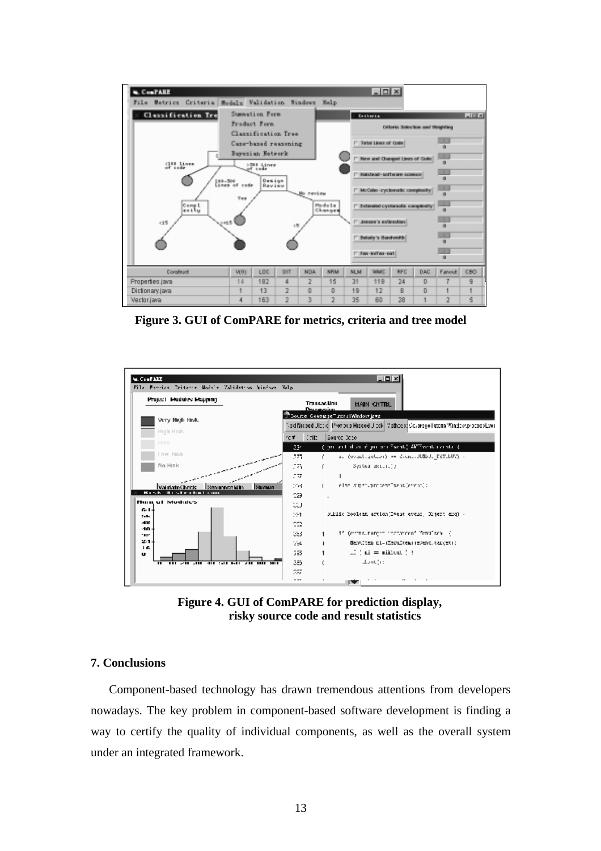

**Figure 3. GUI of ComPARE for metrics, criteria and tree model** 



**Figure 4. GUI of ComPARE for prediction display, risky source code and result statistics** 

## **7. Conclusions**

Component-based technology has drawn tremendous attentions from developers nowadays. The key problem in component-based software development is finding a way to certify the quality of individual components, as well as the overall system under an integrated framework.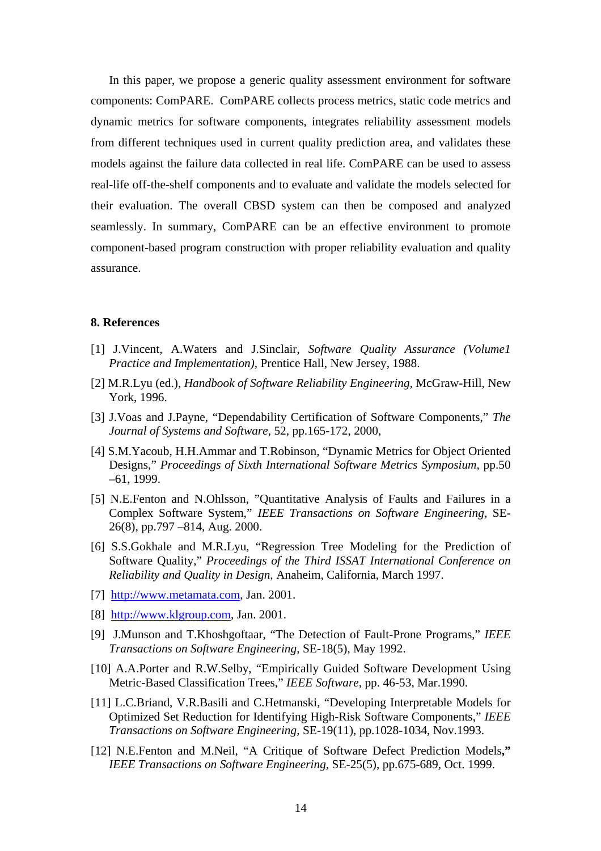In this paper, we propose a generic quality assessment environment for software components: ComPARE. ComPARE collects process metrics, static code metrics and dynamic metrics for software components, integrates reliability assessment models from different techniques used in current quality prediction area, and validates these models against the failure data collected in real life. ComPARE can be used to assess real-life off-the-shelf components and to evaluate and validate the models selected for their evaluation. The overall CBSD system can then be composed and analyzed seamlessly. In summary, ComPARE can be an effective environment to promote component-based program construction with proper reliability evaluation and quality assurance.

## **8. References**

- [1] J.Vincent, A.Waters and J.Sinclair, *Software Quality Assurance (Volume1 Practice and Implementation),* Prentice Hall, New Jersey, 1988.
- [2] M.R.Lyu (ed.), *Handbook of Software Reliability Engineering,* McGraw-Hill, New York, 1996.
- [3] J.Voas and J.Payne, "Dependability Certification of Software Components," *The Journal of Systems and Software,* 52, pp.165-172, 2000,
- [4] S.M.Yacoub, H.H.Ammar and T.Robinson, "Dynamic Metrics for Object Oriented Designs," *Proceedings of Sixth International Software Metrics Symposium,* pp.50 –61, 1999.
- [5] N.E.Fenton and N.Ohlsson, "Quantitative Analysis of Faults and Failures in a Complex Software System," *IEEE Transactions on Software Engineering,* SE-26(8), pp.797 –814, Aug. 2000.
- [6] S.S.Gokhale and M.R.Lyu, "Regression Tree Modeling for the Prediction of Software Quality," *Proceedings of the Third ISSAT International Conference on Reliability and Quality in Design,* Anaheim, California, March 1997.
- [7] http://www.metamata.com, Jan. 2001.
- [8] http://www.klgroup.com, Jan. 2001.
- [9] J.Munson and T.Khoshgoftaar, "The Detection of Fault-Prone Programs," *IEEE Transactions on Software Engineering,* SE-18(5), May 1992.
- [10] A.A.Porter and R.W.Selby, "Empirically Guided Software Development Using Metric-Based Classification Trees," *IEEE Software,* pp. 46-53, Mar.1990.
- [11] L.C.Briand, V.R.Basili and C.Hetmanski, "Developing Interpretable Models for Optimized Set Reduction for Identifying High-Risk Software Components," *IEEE Transactions on Software Engineering,* SE-19(11), pp.1028-1034, Nov.1993.
- [12] N.E.Fenton and M.Neil, "A Critique of Software Defect Prediction Models**,"**  *IEEE Transactions on Software Engineering,* SE-25(5), pp.675-689, Oct. 1999.